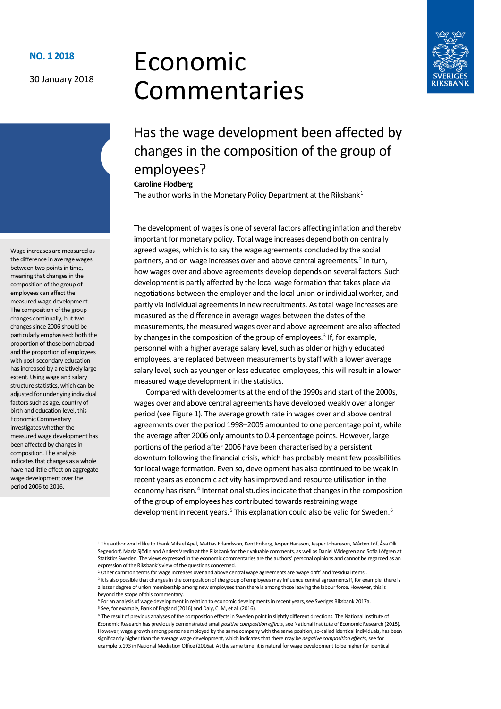#### 30 January 2018

# Economic Commentaries



# Has the wage development been affected by changes in the composition of the group of employees?

#### **Caroline Flodberg**

The author works in the Monetary Policy Department at the Riksbank<sup>[1](#page-0-0)</sup>

The development of wages is one of several factors affecting inflation and thereby important for monetary policy. Total wage increases depend both on centrally agreed wages, which is to say the wage agreements concluded by the social partners, and on wage increases over and above central agreements.<sup>[2](#page-0-1)</sup> In turn, how wages over and above agreements develop depends on several factors. Such development is partly affected by the local wage formation that takes place via negotiations between the employer and the local union or individual worker, and partly via individual agreements in new recruitments. As total wage increases are measured as the difference in average wages between the dates of the measurements, the measured wages over and above agreement are also affected by changes in the composition of the group of employees. [3](#page-0-2) If, for example, personnel with a higher average salary level, such as older or highly educated employees, are replaced between measurements by staff with a lower average salary level, such as younger or less educated employees, this will result in a lower measured wage development in the statistics.

Compared with developments at the end of the 1990s and start of the 2000s, wages over and above central agreements have developed weakly over a longer period (see Figure 1). The average growth rate in wages over and above central agreements over the period 1998–2005 amounted to one percentage point, while the average after 2006 only amounts to 0.4 percentage points. However, large portions of the period after 2006 have been characterised by a persistent downturn following the financial crisis, which has probably meant few possibilities for local wage formation. Even so, development has also continued to be weak in recent years as economic activity has improved and resource utilisation in the economy has risen.<sup>[4](#page-0-3)</sup> International studies indicate that changes in the composition of the group of employees has contributed towards restraining wage development in recent years.<sup>[5](#page-0-4)</sup> This explanation could also be valid for Sweden.<sup>[6](#page-0-5)</sup>

Wage increases are measured as the difference in average wages between two points in time, meaning that changes in the composition of the group of employees can affect the measured wage development. The composition of the group changes continually, but two changes since 2006 should be particularly emphasised: both the proportion of those born abroad and the proportion of employees with post-secondary education has increased by a relatively large extent. Using wage and salary structure statistics, which can be adjusted for underlying individual factors such as age, country of birth and education level, this Economic Commentary investigates whether the measured wage development has been affected by changes in composition. The analysis indicates that changes as a whole have had little effect on aggregate wage development over the period 2006 to 2016.

<span id="page-0-0"></span> <sup>1</sup> The author would like to thank Mikael Apel, Mattias Erlandsson, Kent Friberg, Jesper Hansson, Jesper Johansson, Mårten Löf, Åsa Olli Segendorf, Maria Sjödin and Anders Vredin at the Riksbank for their valuable comments, as well as Daniel Widegren and Sofia Löfgren at Statistics Sweden. The views expressed in the economic commentaries are the authors' personal opinions and cannot be regarded as an expression of the Riksbank's view of the questions concerned.

<span id="page-0-1"></span><sup>2</sup> Other common terms for wage increases over and above central wage agreements are 'wage drift' and 'residual items'.

<span id="page-0-2"></span><sup>&</sup>lt;sup>3</sup> It is also possible that changes in the composition of the group of employees may influence central agreements if, for example, there is a lesser degree of union membership among new employees than there is among those leaving the labour force. However, this is

<span id="page-0-3"></span>beyond the scope of this commentary.<br><sup>4</sup> For an analysis of wage development in relation to economic developments in recent years, see Sveriges Riksbank 2017a. <sup>5</sup> See, for example, Bank of England (2016) and Daly, C. M, et al. (2016).

<span id="page-0-5"></span><span id="page-0-4"></span><sup>&</sup>lt;sup>6</sup> The result of previous analyses of the composition effects in Sweden point in slightly different directions. The National Institute of Economic Research has previously demonstrated small *positive composition effects*, see National Institute of Economic Research (2015). However, wage growth among persons employed by the same company with the same position, so-called identical individuals, has been significantly higher than the average wage development, which indicates that there may be *negative composition effects*, see for example p.193 in National Mediation Office (2016a). At the same time, it is natural for wage development to be higher for identical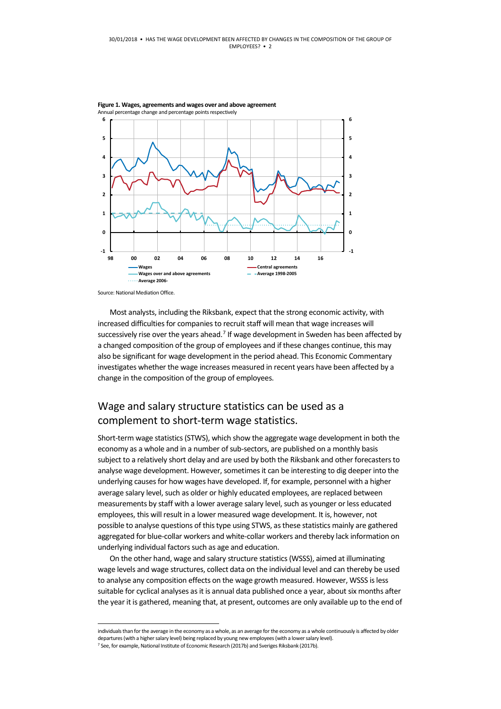

Source: National Mediation Office.

Most analysts, including the Riksbank, expect that the strong economic activity, with increased difficulties for companies to recruit staff will mean that wage increases will successively rise over the years ahead.<sup>[7](#page-1-0)</sup> If wage development in Sweden has been affected by a changed composition of the group of employees and if these changes continue, this may also be significant for wage development in the period ahead. This Economic Commentary investigates whether the wage increases measured in recent years have been affected by a change in the composition of the group of employees.

#### Wage and salary structure statistics can be used as a complement to short-term wage statistics.

Short-term wage statistics (STWS), which show the aggregate wage development in both the economy as a whole and in a number of sub-sectors, are published on a monthly basis subject to a relatively short delay and are used by both the Riksbank and other forecasters to analyse wage development. However, sometimes it can be interesting to dig deeper into the underlying causes for how wages have developed. If, for example, personnel with a higher average salary level, such as older or highly educated employees, are replaced between measurements by staff with a lower average salary level, such as younger or less educated employees, this will result in a lower measured wage development. It is, however, not possible to analyse questions of this type using STWS, as these statistics mainly are gathered aggregated for blue-collar workers and white-collar workers and thereby lack information on underlying individual factors such as age and education.

On the other hand, wage and salary structure statistics (WSSS), aimed at illuminating wage levels and wage structures, collect data on the individual level and can thereby be used to analyse any composition effects on the wage growth measured. However, WSSS isless suitable for cyclical analyses as it is annual data published once a year, about six months after the year it is gathered, meaning that, at present, outcomes are only available up to the end of

 individuals than for the average in the economy as a whole, as an average for the economy as a whole continuously is affected by older departures (with a higher salary level) being replaced by young new employees (with a lower salary level).

<span id="page-1-0"></span><sup>&</sup>lt;sup>7</sup> See, for example, National Institute of Economic Research (2017b) and Sveriges Riksbank (2017b).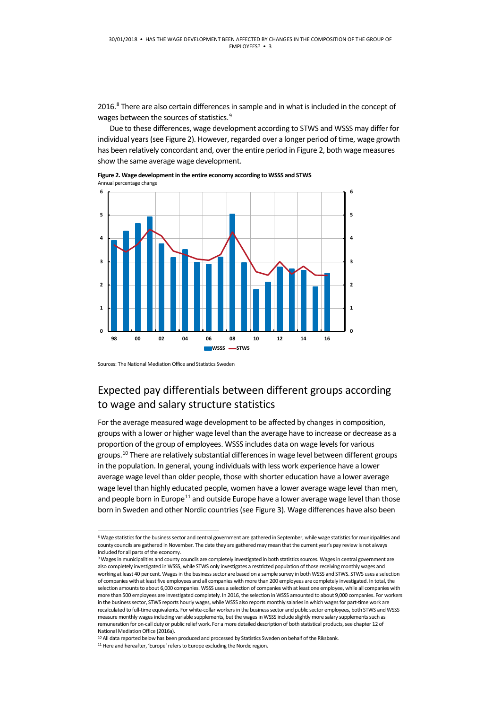2016.<sup>[8](#page-2-0)</sup> There are also certain differences in sample and in what is included in the concept of wages between the sources of statistics.<sup>9</sup>

Due to these differences, wage development according to STWS and WSSS may differ for individual years (see Figure 2). However, regarded over a longer period of time, wage growth has been relatively concordant and, over the entire period in Figure 2, both wage measures show the same average wage development.



**98 00 02 04 06 08 10 12 14 16 WSSS** STWS

**Figure 2. Wage development in the entire economy according to WSSS and STWS** Annual percentage change

Sources: The National Mediation Office and Statistics Sweden

**0**

**1**

## Expected pay differentials between different groups according to wage and salary structure statistics

**0**

**1**

**2**

**3**

**4**

**5**

**6**

For the average measured wage development to be affected by changes in composition, groups with a lower or higher wage level than the average have to increase or decrease as a proportion of the group of employees. WSSS includes data on wage levels for various groups.<sup>[10](#page-2-2)</sup> There are relatively substantial differences in wage level between different groups in the population. In general, young individuals with less work experience have a lower average wage level than older people, those with shorter education have a lower average wage level than highly educated people, women have a lower average wage level than men, and people born in Europe<sup>[11](#page-2-3)</sup> and outside Europe have a lower average wage level than those born in Sweden and other Nordic countries (see Figure 3). Wage differences have also been

<span id="page-2-0"></span> <sup>8</sup> Wage statistics for the business sector and central government are gathered in September, while wage statistics for municipalities and county councils are gathered in November. The date they are gathered may mean that the current year's pay review is not always included for all parts of the economy.

<span id="page-2-1"></span><sup>9</sup> Wages in municipalities and county councils are completely investigated in both statistics sources. Wages in central government are also completely investigated in WSSS, while STWS only investigates a restricted population of those receiving monthly wages and working at least 40 per cent. Wages in the business sector are based on a sample survey in both WSSS and STWS. STWS uses a selection of companies with at least five employees and all companies with more than 200 employees are completely investigated. In total, the selection amounts to about 6,000 companies. WSSS uses a selection of companies with at least one employee, while all companies with more than 500 employees are investigated completely. In 2016, the selection in WSSS amounted to about 9,000 companies. For workers in the business sector, STWS reports hourly wages, while WSSS also reports monthly salaries in which wages for part-time work are recalculated to full-time equivalents. For white-collar workers in the business sector and public sector employees, both STWS and WSSS measure monthly wages including variable supplements, but the wages in WSSS include slightly more salary supplements such as remuneration for on-call duty or public relief work. For a more detailed description of both statistical products, see chapter 12 of National Mediation Office (2016a).

<sup>&</sup>lt;sup>10</sup> All data reported below has been produced and processed by Statistics Sweden on behalf of the Riksbank.

<span id="page-2-3"></span><span id="page-2-2"></span><sup>&</sup>lt;sup>11</sup> Here and hereafter, 'Europe' refers to Europe excluding the Nordic region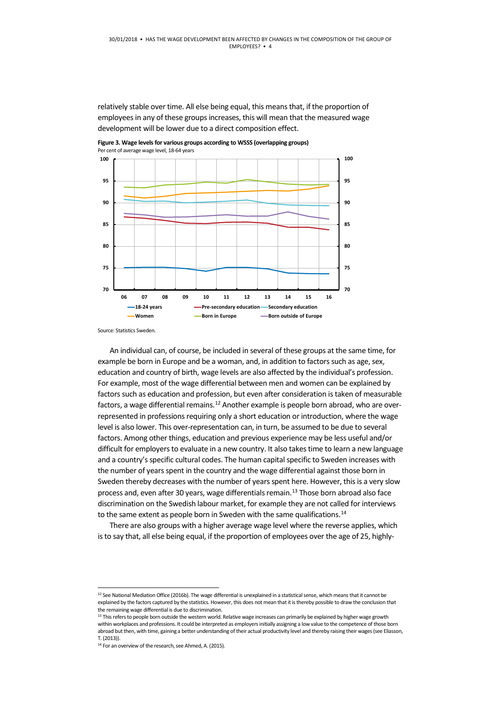relatively stable over time. All else being equal, this means that, if the proportion of employees in any of these groups increases, this will mean that the measured wage development will be lower due to a direct composition effect.

**Figure 3. Wage levels for various groups according to WSSS (overlapping groups)** Per cent of average wage level, 18-64 years



Source: Statistics Sweden.

An individual can, of course, be included in several of these groups at the same time, for example be born in Europe and be a woman, and, in addition to factors such as age, sex, education and country of birth, wage levels are also affected by the individual's profession. For example, most of the wage differential between men and women can be explained by factors such as education and profession, but even after consideration istaken of measurable factors, a wage differential remains.<sup>[12](#page-3-0)</sup> Another example is people born abroad, who are overrepresented in professions requiring only a short education or introduction, where the wage level is also lower. This over-representation can, in turn, be assumed to be due to several factors. Among other things, education and previous experience may be less useful and/or difficult for employers to evaluate in a new country. It also takes time to learn a new language and a country's specific cultural codes. The human capital specific to Sweden increases with the number of years spent in the country and the wage differential against those born in Sweden thereby decreases with the number of years spent here. However, this is a very slow process and, even after 30 years, wage differentials remain.<sup>[13](#page-3-1)</sup> Those born abroad also face discrimination on the Swedish labour market, for example they are not called for interviews to the same extent as people born in Sweden with the same qualifications.<sup>14</sup>

There are also groups with a higher average wage level where the reverse applies, which is to say that, all else being equal, if the proportion of employees over the age of 25, highly-

<span id="page-3-0"></span><sup>&</sup>lt;sup>12</sup> See National Mediation Office (2016b). The wage differential is unexplained in a statistical sense, which means that it cannot be explained by the factors captured by the statistics. However, this does not mean that it is thereby possible to draw the conclusion that the remaining wage differential is due to discrimination.

<span id="page-3-1"></span><sup>&</sup>lt;sup>13</sup> This refers to people born outside the western world. Relative wage increases can primarily be explained by higher wage growth within workplaces and professions. It could be interpreted as employers initially assigning a low value to the competence of those born abroad but then, with time, gaining a better understanding of their actual productivity level and thereby raising their wages (see Eliasson, T. (2013)).

<span id="page-3-2"></span><sup>&</sup>lt;sup>14</sup> For an overview of the research, see Ahmed, A. (2015).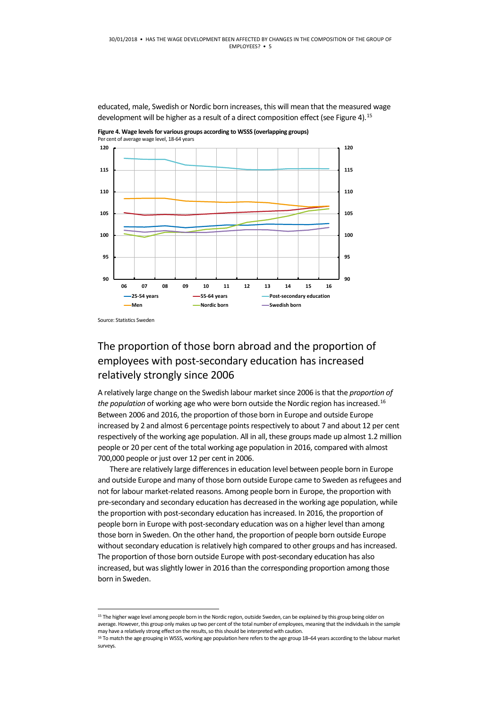educated, male, Swedish or Nordic born increases, this will mean that the measured wage development will be higher as a result of a direct composition effect (see Figure 4).<sup>[15](#page-4-0)</sup>

**Figure 4. Wage levels for various groups according to WSSS (overlapping groups)** Per cent of average wage level, 18-64 years



Source: Statistics Sweden

### The proportion of those born abroad and the proportion of employees with post-secondary education has increased relatively strongly since 2006

A relatively large change on the Swedish labour market since 2006 is that the *proportion of the population* of working age who were born outside the Nordic region has increased.<sup>[16](#page-4-1)</sup> Between 2006 and 2016, the proportion of those born in Europe and outside Europe increased by 2 and almost 6 percentage points respectively to about 7 and about 12 per cent respectively of the working age population. All in all, these groups made up almost 1.2 million people or 20 per cent of the total working age population in 2016, compared with almost 700,000 people or just over 12 per cent in 2006.

There are relatively large differences in education level between people born in Europe and outside Europe and many of those born outside Europe came to Sweden as refugees and not for labour market-related reasons. Among people born in Europe, the proportion with pre-secondary and secondary education has decreased in the working age population, while the proportion with post-secondary education has increased. In 2016, the proportion of people born in Europe with post-secondary education was on a higher level than among those born in Sweden. On the other hand, the proportion of people born outside Europe without secondary education is relatively high compared to other groups and has increased. The proportion of those born outside Europe with post-secondary education has also increased, but was slightly lower in 2016 than the corresponding proportion among those born in Sweden.

<span id="page-4-0"></span><sup>&</sup>lt;sup>15</sup> The higher wage level among people born in the Nordic region, outside Sweden, can be explained by this group being older on average. However, this group only makes up two per cent of the total number of employees, meaning that the individuals in the sample may have a relatively strong effect on the results, so this should be interpreted with caution.

<span id="page-4-1"></span><sup>&</sup>lt;sup>16</sup> To match the age grouping in WSSS, working age population here refers to the age group 18–64 years according to the labour market surveys.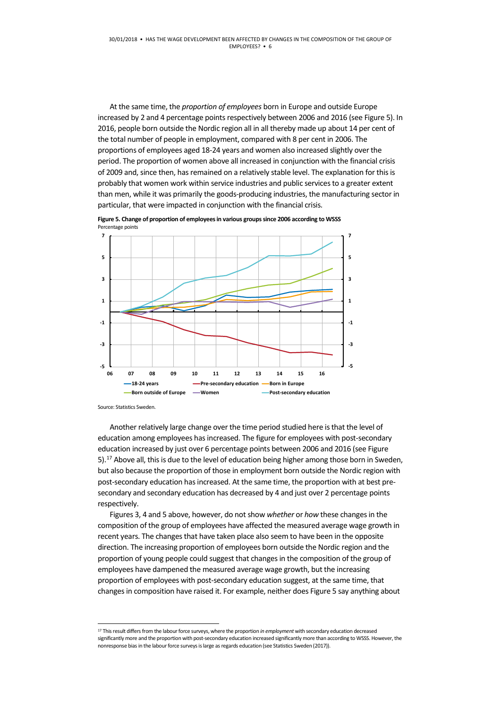At the same time, the *proportion of employees* born in Europe and outside Europe increased by 2 and 4 percentage points respectively between 2006 and 2016 (see Figure 5). In 2016, people born outside the Nordic region all in all thereby made up about 14 per cent of the total number of people in employment, compared with 8 per cent in 2006. The proportions of employees aged 18-24 years and women also increased slightly over the period. The proportion of women above all increased in conjunction with the financial crisis of 2009 and, since then, has remained on a relatively stable level. The explanation for this is probably that women work within service industries and public services to a greater extent than men, while it was primarily the goods-producing industries, the manufacturing sector in particular, that were impacted in conjunction with the financial crisis.



**Figure 5. Change of proportion of employees in various groups since 2006 according to WSSS** Percentage points

Source: Statistics Sweden.

Another relatively large change over the time period studied here is that the level of education among employees has increased. The figure for employees with post-secondary education increased by just over 6 percentage points between 2006 and 2016 (see Figure 5).<sup>[17](#page-5-0)</sup> Above all, this is due to the level of education being higher among those born in Sweden, but also because the proportion of those in employment born outside the Nordic region with post-secondary education has increased. At the same time, the proportion with at best presecondary and secondary education has decreased by 4 and just over 2 percentage points respectively.

Figures 3, 4 and 5 above, however, do not show *whether* or *how* these changes in the composition of the group of employees have affected the measured average wage growth in recent years. The changes that have taken place also seem to have been in the opposite direction. The increasing proportion of employees born outside the Nordic region and the proportion of young people could suggest that changes in the composition of the group of employees have dampened the measured average wage growth, but the increasing proportion of employees with post-secondary education suggest, at the same time, that changes in composition have raised it. For example, neither does Figure 5 say anything about

<span id="page-5-0"></span> <sup>17</sup> This result differs from the labour force surveys, where the proportion *in employment* with secondary education decreased significantly more and the proportion with post-secondary education increased significantly more than according to WSSS. However, the nonresponse bias in the labour force surveys is large as regards education (see Statistics Sweden (2017)).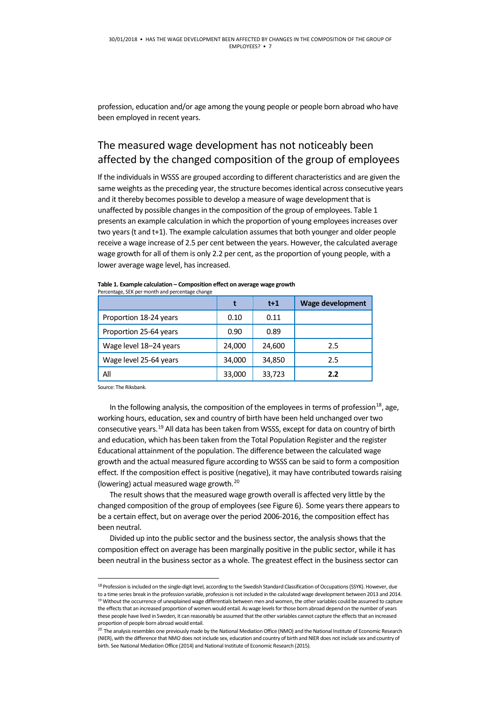profession, education and/or age among the young people or people born abroad who have been employed in recent years.

#### The measured wage development has not noticeably been affected by the changed composition of the group of employees

If the individuals in WSSS are grouped according to different characteristics and are given the same weights as the preceding year, the structure becomes identical across consecutive years and it thereby becomes possible to develop a measure of wage development that is unaffected by possible changes in the composition of the group of employees. Table 1 presents an example calculation in which the proportion of young employees increases over two years (t and t+1). The example calculation assumes that both younger and older people receive a wage increase of 2.5 per cent between the years. However, the calculated average wage growth for all of them is only 2.2 per cent, as the proportion of young people, with a lower average wage level, has increased.

|                        |        | $t+1$  | <b>Wage development</b> |
|------------------------|--------|--------|-------------------------|
| Proportion 18-24 years | 0.10   | 0.11   |                         |
| Proportion 25-64 years | 0.90   | 0.89   |                         |
| Wage level 18-24 years | 24,000 | 24,600 | 2.5                     |
| Wage level 25-64 years | 34,000 | 34,850 | 2.5                     |
| All                    | 33,000 | 33,723 | 2.2                     |

**Table 1. Example calculation – Composition effect on average wage growth** Percentage, SEK per month and percentage change

Source: The Riksbank.

In the following analysis, the composition of the employees in terms of profession<sup>18</sup>, age, working hours, education, sex and country of birth have been held unchanged over two consecutive years.[19](#page-6-1) All data has been taken from WSSS, except for data on country of birth and education, which has been taken from the Total Population Register and the register Educational attainment of the population. The difference between the calculated wage growth and the actual measured figure according to WSSS can be said to form a composition effect. If the composition effect is positive (negative), it may have contributed towards raising (lowering) actual measured wage growth.[20](#page-6-2)

The result shows that the measured wage growth overall is affected very little by the changed composition of the group of employees(see Figure 6). Some years there appears to be a certain effect, but on average over the period 2006-2016, the composition effect has been neutral.

Divided up into the public sector and the business sector, the analysis shows that the composition effect on average has been marginally positive in the public sector, while it has been neutral in the business sector as a whole. The greatest effect in the business sector can

<span id="page-6-1"></span><span id="page-6-0"></span><sup>&</sup>lt;sup>18</sup> Profession is included on the single-digit level, according to the Swedish Standard Classification of Occupations (SSYK). However, due to a time series break in the profession variable, profession is not included in the calculated wage development between 2013 and 2014. <sup>19</sup> Without the occurrence of unexplained wage differentials between men and women, the other variables could be assumed to capture the effects that an increased proportion of women would entail. As wage levels for those born abroad depend on the number of years these people have lived in Sweden, it can reasonably be assumed that the other variables cannot capture the effects that an increased proportion of people born abroad would entail.

<span id="page-6-2"></span><sup>&</sup>lt;sup>20</sup> The analysis resembles one previously made by the National Mediation Office (NMO) and the National Institute of Economic Research (NIER), with the difference that NMO does not include sex, education and country of birth and NIER does not include sex and country of birth. See National Mediation Office (2014) and National Institute of Economic Research (2015).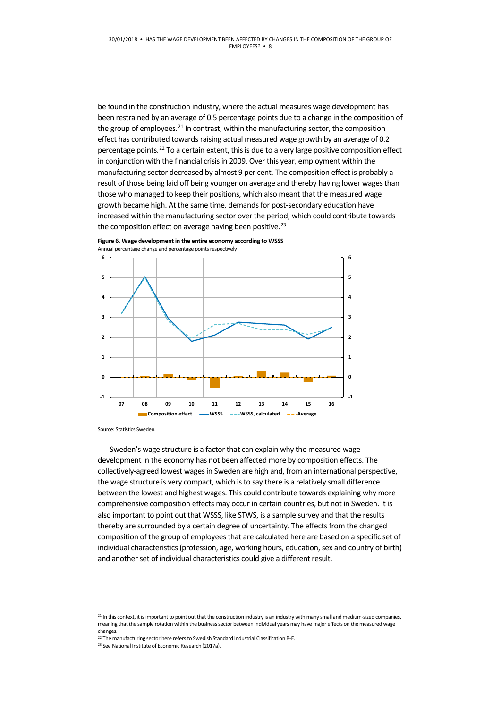be found in the construction industry, where the actual measures wage development has been restrained by an average of 0.5 percentage points due to a change in the composition of the group of employees.<sup>[21](#page-7-0)</sup> In contrast, within the manufacturing sector, the composition effect has contributed towards raising actual measured wage growth by an average of 0.2 percentage points.<sup>[22](#page-7-1)</sup> To a certain extent, this is due to a very large positive composition effect in conjunction with the financial crisis in 2009. Over this year, employment within the manufacturing sector decreased by almost 9 per cent. The composition effect is probably a result of those being laid off being younger on average and thereby having lower wages than those who managed to keep their positions, which also meant that the measured wage growth became high. At the same time, demands for post-secondary education have increased within the manufacturing sector over the period, which could contribute towards the composition effect on average having been positive. $^{23}$  $^{23}$  $^{23}$ 





Source: Statistics Sweden.

Sweden's wage structure is a factor that can explain why the measured wage development in the economy has not been affected more by composition effects. The collectively-agreed lowest wages in Sweden are high and, from an international perspective, the wage structure is very compact, which is to say there is a relatively small difference between the lowest and highest wages. This could contribute towards explaining why more comprehensive composition effects may occur in certain countries, but not in Sweden. It is also important to point out that WSSS, like STWS, is a sample survey and that the results thereby are surrounded by a certain degree of uncertainty. The effects from the changed composition of the group of employees that are calculated here are based on a specific set of individual characteristics (profession, age, working hours, education, sex and country of birth) and another set of individual characteristics could give a different result.

<span id="page-7-0"></span><sup>&</sup>lt;sup>21</sup> In this context, it is important to point out that the construction industry is an industry with many small and medium-sized companies, meaning that the sample rotation within the business sector between individual years may have major effects on the measured wage changes.

<span id="page-7-2"></span><span id="page-7-1"></span><sup>&</sup>lt;sup>22</sup> The manufacturing sector here refers to Swedish Standard Industrial Classification B-E.  $^{23}$  See National Institute of Economic Research (2017a).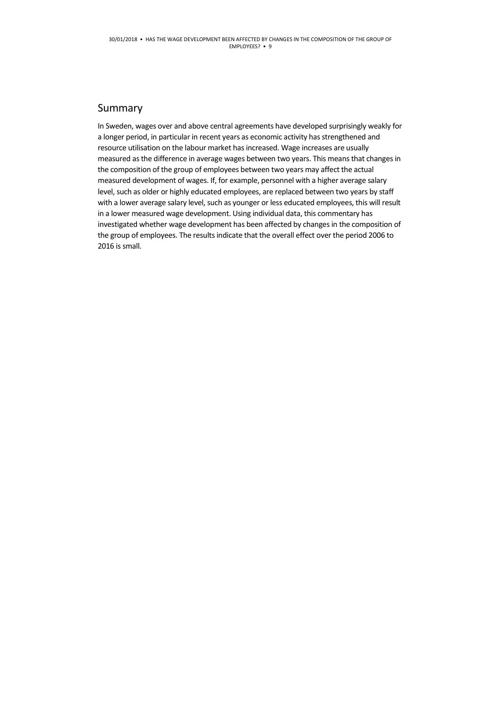#### Summary

In Sweden, wages over and above central agreements have developed surprisingly weakly for a longer period, in particular in recent years as economic activity has strengthened and resource utilisation on the labour market has increased. Wage increases are usually measured as the difference in average wages between two years. This means that changes in the composition of the group of employees between two years may affect the actual measured development of wages. If, for example, personnel with a higher average salary level, such as older or highly educated employees, are replaced between two years by staff with a lower average salary level, such as younger or less educated employees, this will result in a lower measured wage development. Using individual data, this commentary has investigated whether wage development has been affected by changes in the composition of the group of employees. The results indicate that the overall effect over the period 2006 to 2016 is small.